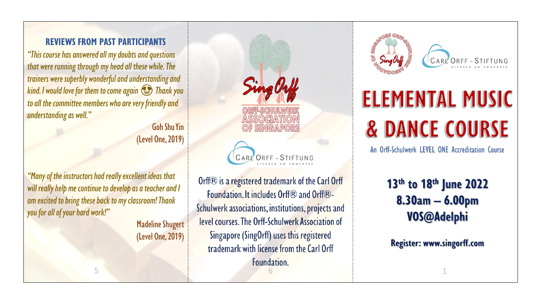#### **REVIEWS FROM PAST PARTICIPANTS**

*"This course has answered all my doubts and questions that were running through my head all these while. The trainers were superbly wonderful and understanding and kind. I would love for them to come again Thank you to all the committee members who are very friendly and understanding as well."* 

> Goh Shu Yin (Level One, 2019)

*"Many of the instructors had really excellent ideas that will really help me continue to develop as a teacher and I am excited to bring these back to my classroom! Thank you for all ofyour hard work!"*

5

Madeline Shugert (Level One, 2019)

ASSOCIATI  $SINGAPOR$ CARL ORFF - STIFTUNG

Orff® is a registered trademark of the Carl Orff Foundation. It includes Orff® and Orff®-Schulwerk associations, institutions, projects and level courses. The Orff-Schulwerk Association of Singapore (SingOrff) uses this registered trademark with license from the Carl Orff Foundation. 6





# **ELEMENTAL MUSIC & DANCE COURSE**

An Orff-Schulwerk LEVEL ONE Accreditation Course

# 13<sup>th</sup> to 18<sup>th</sup> June 2022  $8.30am - 6.00pm$ VOS@Adelphi

**Register: www.singorff.com** 

1